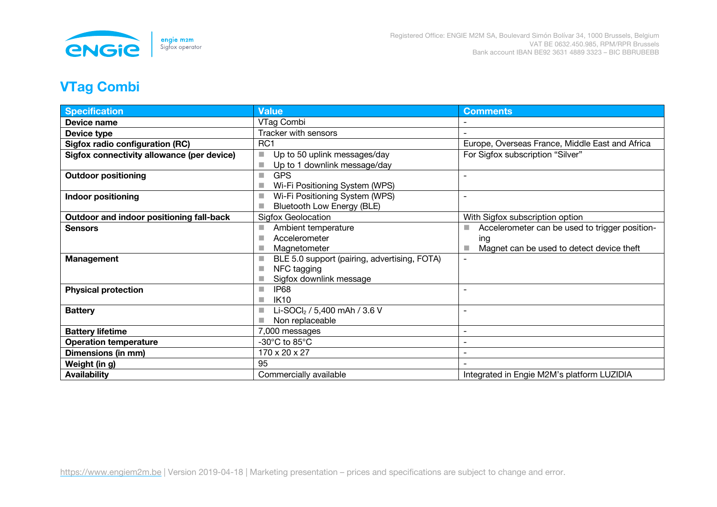

## **VTag Combi**

| <b>Specification</b>                       | <b>Value</b>                                                                           | <b>Comments</b>                                                                                          |
|--------------------------------------------|----------------------------------------------------------------------------------------|----------------------------------------------------------------------------------------------------------|
| Device name                                | VTag Combi                                                                             |                                                                                                          |
| Device type                                | Tracker with sensors                                                                   |                                                                                                          |
| <b>Sigfox radio configuration (RC)</b>     | RC <sub>1</sub>                                                                        | Europe, Overseas France, Middle East and Africa                                                          |
| Sigfox connectivity allowance (per device) | Up to 50 uplink messages/day<br>m.<br>Up to 1 downlink message/day<br>a.               | For Sigfox subscription "Silver"                                                                         |
| <b>Outdoor positioning</b>                 | <b>GPS</b><br>ш<br>Wi-Fi Positioning System (WPS)                                      |                                                                                                          |
| <b>Indoor positioning</b>                  | Wi-Fi Positioning System (WPS)<br><b>Bluetooth Low Energy (BLE)</b>                    | $\overline{\phantom{0}}$                                                                                 |
| Outdoor and indoor positioning fall-back   | <b>Sigfox Geolocation</b>                                                              | With Sigfox subscription option                                                                          |
| <b>Sensors</b>                             | Ambient temperature<br><b>Tale</b><br>Accelerometer<br>Magnetometer                    | Accelerometer can be used to trigger position-<br>m.<br>ing<br>Magnet can be used to detect device theft |
| Management                                 | BLE 5.0 support (pairing, advertising, FOTA)<br>NFC tagging<br>Sigfox downlink message | $\overline{\phantom{0}}$                                                                                 |
| <b>Physical protection</b>                 | <b>IP68</b><br>m.<br><b>IK10</b><br>×                                                  |                                                                                                          |
| <b>Battery</b>                             | Li-SOCl <sub>2</sub> / 5,400 mAh / 3.6 V<br>Non replaceable                            | ۰                                                                                                        |
| <b>Battery lifetime</b>                    | 7,000 messages                                                                         | $\overline{\phantom{0}}$                                                                                 |
| <b>Operation temperature</b>               | -30 $^{\circ}$ C to 85 $^{\circ}$ C                                                    | $\overline{\phantom{a}}$                                                                                 |
| Dimensions (in mm)                         | 170 x 20 x 27                                                                          |                                                                                                          |
| Weight (in g)                              | 95                                                                                     |                                                                                                          |
| <b>Availability</b>                        | Commercially available                                                                 | Integrated in Engie M2M's platform LUZIDIA                                                               |